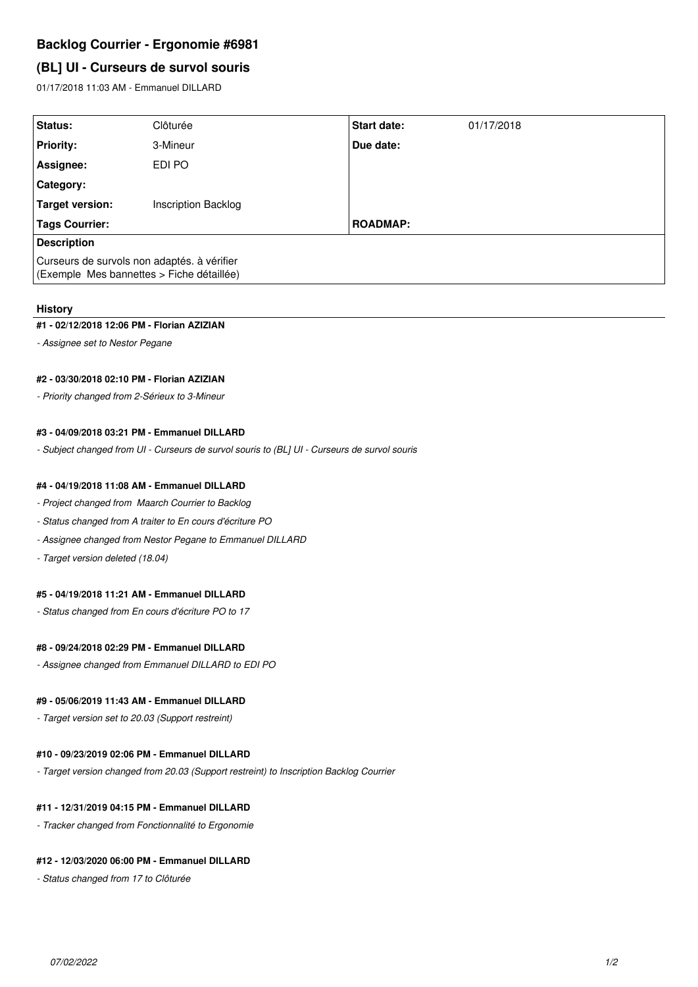# **Backlog Courrier - Ergonomie #6981**

# **(BL] UI - Curseurs de survol souris**

01/17/2018 11:03 AM - Emmanuel DILLARD

| Status:                                                                                  | Clôturée                   | <b>Start date:</b> | 01/17/2018 |
|------------------------------------------------------------------------------------------|----------------------------|--------------------|------------|
| <b>Priority:</b>                                                                         | 3-Mineur                   | Due date:          |            |
| Assignee:                                                                                | EDI PO                     |                    |            |
| <b>Category:</b>                                                                         |                            |                    |            |
| Target version:                                                                          | <b>Inscription Backlog</b> |                    |            |
| <b>Tags Courrier:</b>                                                                    |                            | <b>ROADMAP:</b>    |            |
| <b>Description</b>                                                                       |                            |                    |            |
| Curseurs de survols non adaptés. à vérifier<br>(Exemple Mes bannettes > Fiche détaillée) |                            |                    |            |

#### **History**

#### **#1 - 02/12/2018 12:06 PM - Florian AZIZIAN**

*- Assignee set to Nestor Pegane*

#### **#2 - 03/30/2018 02:10 PM - Florian AZIZIAN**

*- Priority changed from 2-Sérieux to 3-Mineur*

### **#3 - 04/09/2018 03:21 PM - Emmanuel DILLARD**

*- Subject changed from UI - Curseurs de survol souris to (BL] UI - Curseurs de survol souris*

### **#4 - 04/19/2018 11:08 AM - Emmanuel DILLARD**

- *Project changed from Maarch Courrier to Backlog*
- *Status changed from A traiter to En cours d'écriture PO*
- *Assignee changed from Nestor Pegane to Emmanuel DILLARD*
- *Target version deleted (18.04)*

## **#5 - 04/19/2018 11:21 AM - Emmanuel DILLARD**

*- Status changed from En cours d'écriture PO to 17*

### **#8 - 09/24/2018 02:29 PM - Emmanuel DILLARD**

*- Assignee changed from Emmanuel DILLARD to EDI PO*

### **#9 - 05/06/2019 11:43 AM - Emmanuel DILLARD**

*- Target version set to 20.03 (Support restreint)*

## **#10 - 09/23/2019 02:06 PM - Emmanuel DILLARD**

*- Target version changed from 20.03 (Support restreint) to Inscription Backlog Courrier*

#### **#11 - 12/31/2019 04:15 PM - Emmanuel DILLARD**

*- Tracker changed from Fonctionnalité to Ergonomie*

# **#12 - 12/03/2020 06:00 PM - Emmanuel DILLARD**

*- Status changed from 17 to Clôturée*